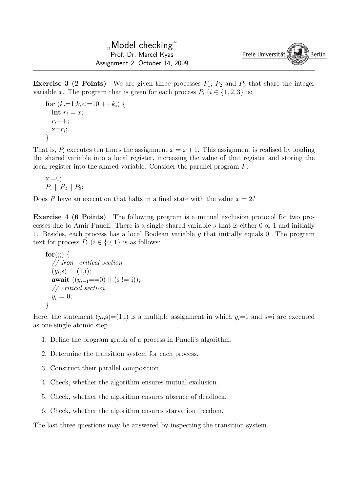**Exercise 3 (2 Points)** We are given three processes  $P_1$ ,  $P_2$  and  $P_3$  that share the integer variable *x*. The program that is given for each process  $P_i$  ( $i \in \{1, 2, 3\}$  is:

$$
\begin{aligned}\n &\text{for } (k_i=1; k_i<=10; ++k_i) \{ \\
 &\text{int } r_i = x; \\
 &\text{r}_i++; \\
 &\text{x}=r_i; \\
 &\text{ }\end{aligned}
$$

That is,  $P_i$  executes ten times the assignment  $x = x + 1$ . This assignment is realised by loading the shared variable into a local register, increasing the value of that register and storing the local register into the shared variable. Consider the parallel program *P*:

 $x:=0$ :  $P_1 \parallel P_2 \parallel P_3;$ 

Does *P* have an execution that halts in a final state with the value  $x = 2$ ?

**Exercise 4 (6 Points)** The following program is a mutual exclusion protocol for two processes due to Amir Pnueli. There is a single shared variable *s* that is either 0 or 1 and initially 1. Besides, each process has a local Boolean variable *y* that initially equals 0. The program text for process  $P_i$  ( $i \in \{0,1\}$ ) is as follows:

```
\mathbf{for}(\cdot; \cdot) {
  // Non−critical section
   (y_i, s) = (1,i);await ((y_{i-1} == 0) || (s != i));// critical section
  y_i = 0;}
```
Here, the statement  $(y_i, s) = (1, i)$  is a multiple assignment in which  $y_i = 1$  and  $s = i$  are executed as one single atomic step.

- 1. Define the program graph of a process in Pnueli's algorithm.
- 2. Determine the transition system for each process.
- 3. Construct their parallel composition.
- 4. Check, whether the algorithm ensures mutual exclusion.
- 5. Check, whether the algorithm ensures absence of deadlock.
- 6. Check, whether the algorithm ensures starvation freedom.

The last three questions may be answered by inspecting the transition system.